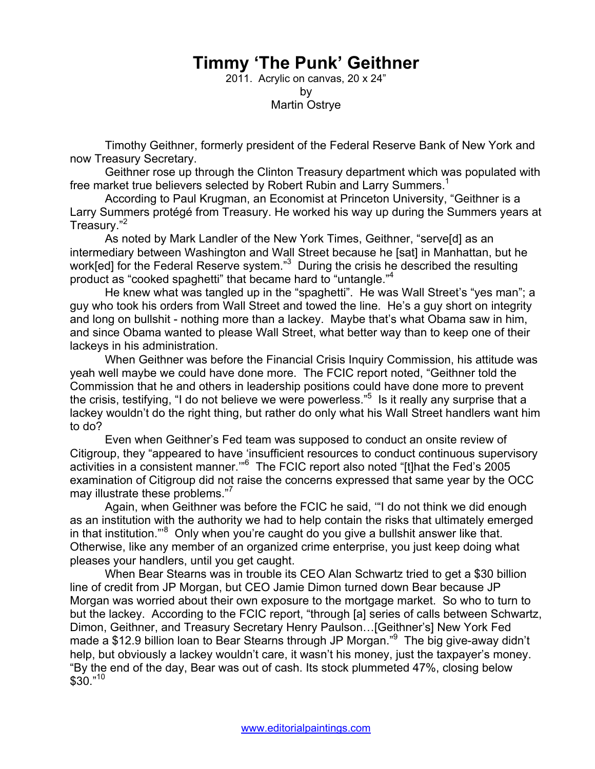## **Timmy 'The Punk' Geithner**

2011. Acrylic on canvas, 20 x 24" by Martin Ostrye

Timothy Geithner, formerly president of the Federal Reserve Bank of New York and now Treasury Secretary.

Geithner rose up through the Clinton Treasury department which was populated with free market true believers selected by Robert Rubin and Larry Summers.<sup>1</sup>

According to Paul Krugman, an Economist at Princeton University, "Geithner is a Larry Summers protégé from Treasury. He worked his way up during the Summers years at Treasury."<sup>2</sup>

As noted by Mark Landler of the New York Times, Geithner, "serve[d] as an intermediary between Washington and Wall Street because he [sat] in Manhattan, but he work[ed] for the Federal Reserve system."<sup>3</sup> During the crisis he described the resulting product as "cooked spaghetti" that became hard to "untangle."4

 He knew what was tangled up in the "spaghetti". He was Wall Street's "yes man"; a guy who took his orders from Wall Street and towed the line. He's a guy short on integrity and long on bullshit - nothing more than a lackey. Maybe that's what Obama saw in him, and since Obama wanted to please Wall Street, what better way than to keep one of their lackeys in his administration.

When Geithner was before the Financial Crisis Inquiry Commission, his attitude was yeah well maybe we could have done more. The FCIC report noted, "Geithner told the Commission that he and others in leadership positions could have done more to prevent the crisis, testifying, "I do not believe we were powerless."5 Is it really any surprise that a lackey wouldn't do the right thing, but rather do only what his Wall Street handlers want him to do?

 Even when Geithner's Fed team was supposed to conduct an onsite review of Citigroup, they "appeared to have 'insufficient resources to conduct continuous supervisory activities in a consistent manner."<sup>6</sup> The FCIC report also noted "[t]hat the Fed's 2005 examination of Citigroup did not raise the concerns expressed that same year by the OCC may illustrate these problems."7

Again, when Geithner was before the FCIC he said, '"I do not think we did enough as an institution with the authority we had to help contain the risks that ultimately emerged in that institution."<sup>8</sup> Only when you're caught do you give a bullshit answer like that. Otherwise, like any member of an organized crime enterprise, you just keep doing what pleases your handlers, until you get caught.

When Bear Stearns was in trouble its CEO Alan Schwartz tried to get a \$30 billion line of credit from JP Morgan, but CEO Jamie Dimon turned down Bear because JP Morgan was worried about their own exposure to the mortgage market. So who to turn to but the lackey. According to the FCIC report, "through [a] series of calls between Schwartz, Dimon, Geithner, and Treasury Secretary Henry Paulson…[Geithner's] New York Fed made a \$12.9 billion loan to Bear Stearns through JP Morgan."<sup>9</sup> The big give-away didn't help, but obviously a lackey wouldn't care, it wasn't his money, just the taxpayer's money. "By the end of the day, Bear was out of cash. Its stock plummeted 47%, closing below  $$30.<sup>10</sup>$